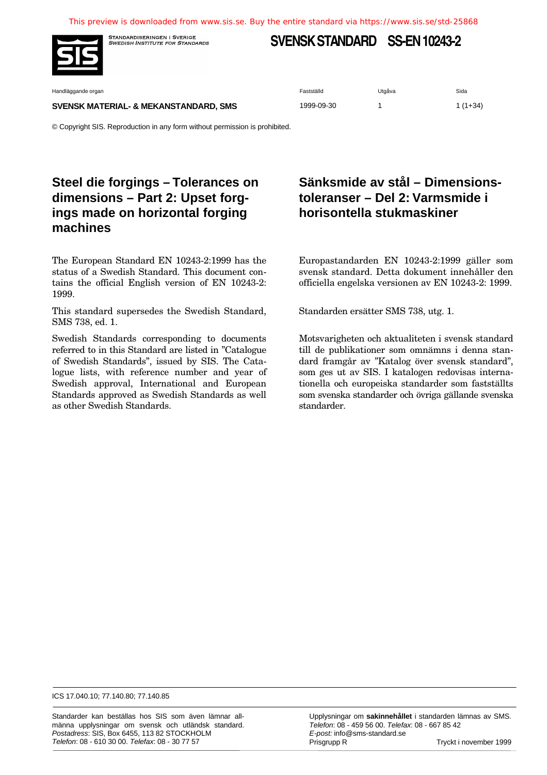

STANDARDISERINGEN I SVERIGE **SWEDISH INSTITUTE FOR STANDARDS** 

## **SVENSK STANDARD SS-EN 10243-2**

Handläggande organ Fastställd Utgåva Sida

**SVENSK MATERIAL- & MEKANSTANDARD, SMS** 1999-09-30 1 1 (1+34)

© Copyright SIS. Reproduction in any form without permission is prohibited.

## **Steel die forgings – Tolerances on dimensions – Part 2: Upset forgings made on horizontal forging machines**

The European Standard EN 10243-2:1999 has the status of a Swedish Standard. This document contains the official English version of EN 10243-2: 1999.

This standard supersedes the Swedish Standard, SMS 738, ed. 1.

Swedish Standards corresponding to documents referred to in this Standard are listed in "Catalogue of Swedish Standards", issued by SIS. The Catalogue lists, with reference number and year of Swedish approval, International and European Standards approved as Swedish Standards as well as other Swedish Standards.

## **Sänksmide av stål – Dimensionstoleranser – Del 2: Varmsmide i horisontella stukmaskiner**

Europastandarden EN 10243-2:1999 gäller som svensk standard. Detta dokument innehåller den officiella engelska versionen av EN 10243-2: 1999.

Standarden ersätter SMS 738, utg. 1.

Motsvarigheten och aktualiteten i svensk standard till de publikationer som omnämns i denna standard framgår av "Katalog över svensk standard", som ges ut av SIS. I katalogen redovisas internationella och europeiska standarder som fastställts som svenska standarder och övriga gällande svenska standarder.

ICS 17.040.10; 77.140.80; 77.140.85

Standarder kan beställas hos SIS som även lämnar allmänna upplysningar om svensk och utländsk standard. Postadress: SIS, Box 6455, 113 82 STOCKHOLM Telefon: 08 - 610 30 00. Telefax: 08 - 30 77 57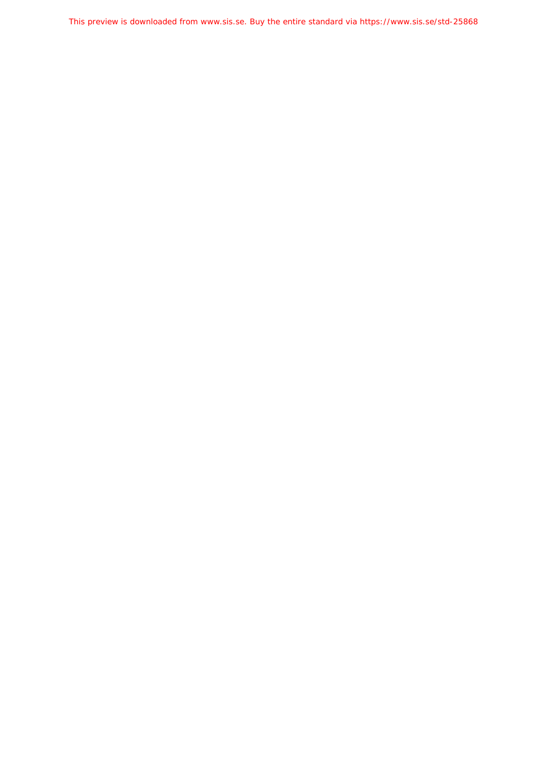This preview is downloaded from www.sis.se. Buy the entire standard via https://www.sis.se/std-25868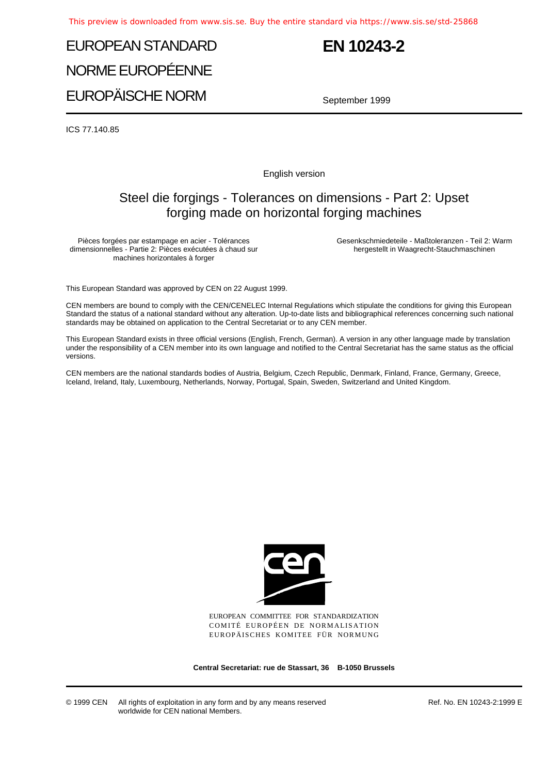# EUROPEAN STANDARD NORME EUROPÉENNE EUROPÄISCHE NORM

## **EN 10243-2**

September 1999

ICS 77.140.85

English version

### Steel die forgings - Tolerances on dimensions - Part 2: Upset forging made on horizontal forging machines

Pièces forgées par estampage en acier - Tolérances dimensionnelles - Partie 2: Pièces exécutées à chaud sur machines horizontales à forger

Gesenkschmiedeteile - Maßtoleranzen - Teil 2: Warm hergestellt in Waagrecht-Stauchmaschinen

This European Standard was approved by CEN on 22 August 1999.

CEN members are bound to comply with the CEN/CENELEC Internal Regulations which stipulate the conditions for giving this European Standard the status of a national standard without any alteration. Up-to-date lists and bibliographical references concerning such national standards may be obtained on application to the Central Secretariat or to any CEN member.

This European Standard exists in three official versions (English, French, German). A version in any other language made by translation under the responsibility of a CEN member into its own language and notified to the Central Secretariat has the same status as the official versions.

CEN members are the national standards bodies of Austria, Belgium, Czech Republic, Denmark, Finland, France, Germany, Greece, Iceland, Ireland, Italy, Luxembourg, Netherlands, Norway, Portugal, Spain, Sweden, Switzerland and United Kingdom.



EUROPEAN COMMITTEE FOR STANDARDIZATION COMITÉ EUROPÉEN DE NORMALISATION EUROPÄISCHES KOMITEE FÜR NORMUNG

**Central Secretariat: rue de Stassart, 36 B-1050 Brussels**

© 1999 CEN All rights of exploitation in any form and by any means reserved worldwide for CEN national Members.

Ref. No. EN 10243-2:1999 E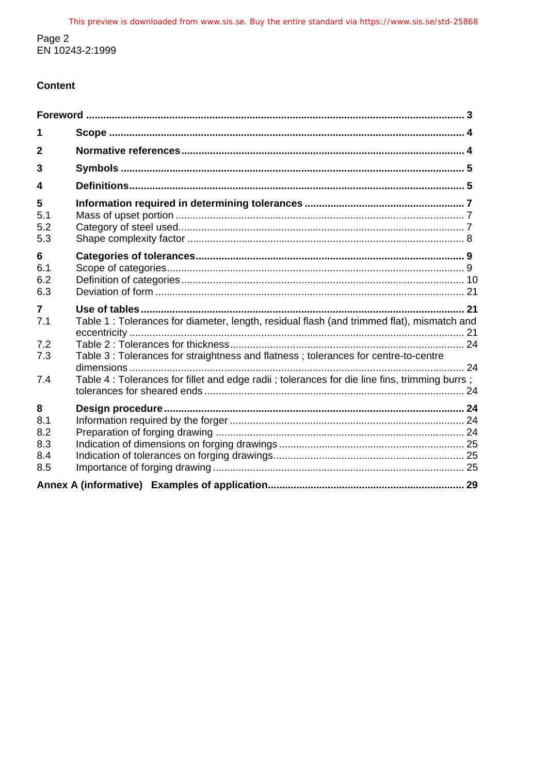Page 2<br>EN 10243-2:1999

#### **Content**

| 1<br>$\mathbf{2}$<br>3<br>4<br>5<br>5.1<br>5.2<br>5.3<br>6<br>6.1<br>6.2<br>6.3<br>$\overline{7}$<br>Table 1: Tolerances for diameter, length, residual flash (and trimmed flat), mismatch and<br>7.1<br>7.2<br>Table 3 : Tolerances for straightness and flatness ; tolerances for centre-to-centre<br>7.3<br>Table 4: Tolerances for fillet and edge radii; tolerances for die line fins, trimming burrs;<br>7.4 |   |  |
|--------------------------------------------------------------------------------------------------------------------------------------------------------------------------------------------------------------------------------------------------------------------------------------------------------------------------------------------------------------------------------------------------------------------|---|--|
|                                                                                                                                                                                                                                                                                                                                                                                                                    |   |  |
|                                                                                                                                                                                                                                                                                                                                                                                                                    |   |  |
|                                                                                                                                                                                                                                                                                                                                                                                                                    |   |  |
|                                                                                                                                                                                                                                                                                                                                                                                                                    |   |  |
|                                                                                                                                                                                                                                                                                                                                                                                                                    |   |  |
|                                                                                                                                                                                                                                                                                                                                                                                                                    |   |  |
|                                                                                                                                                                                                                                                                                                                                                                                                                    |   |  |
|                                                                                                                                                                                                                                                                                                                                                                                                                    |   |  |
| 8.1<br>8.2<br>8.3<br>8.4                                                                                                                                                                                                                                                                                                                                                                                           | 8 |  |
| 8.5                                                                                                                                                                                                                                                                                                                                                                                                                |   |  |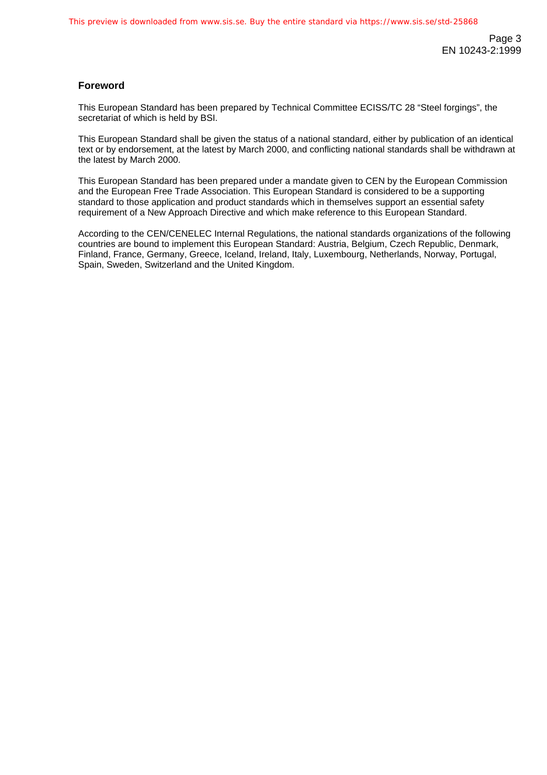#### **Foreword**

This European Standard has been prepared by Technical Committee ECISS/TC 28 "Steel forgings", the secretariat of which is held by BSI.

This European Standard shall be given the status of a national standard, either by publication of an identical text or by endorsement, at the latest by March 2000, and conflicting national standards shall be withdrawn at the latest by March 2000.

This European Standard has been prepared under a mandate given to CEN by the European Commission and the European Free Trade Association. This European Standard is considered to be a supporting standard to those application and product standards which in themselves support an essential safety requirement of a New Approach Directive and which make reference to this European Standard.

According to the CEN/CENELEC Internal Regulations, the national standards organizations of the following countries are bound to implement this European Standard: Austria, Belgium, Czech Republic, Denmark, Finland, France, Germany, Greece, Iceland, Ireland, Italy, Luxembourg, Netherlands, Norway, Portugal, Spain, Sweden, Switzerland and the United Kingdom.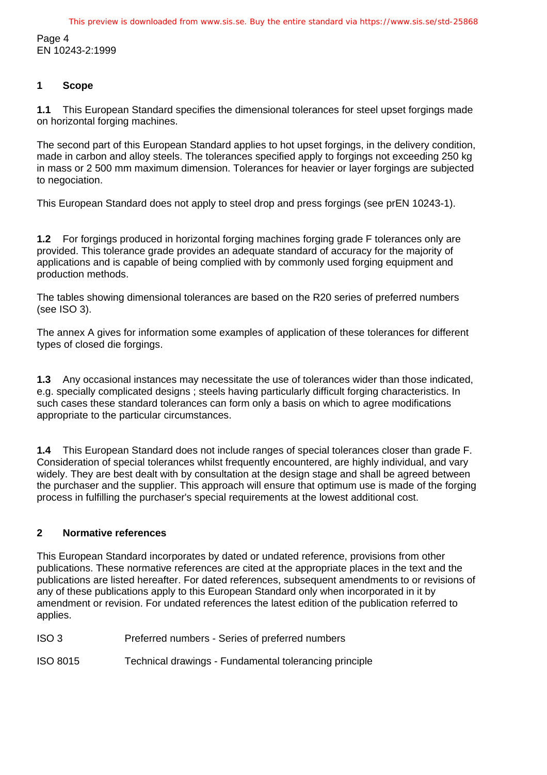Page 4 EN 10243-2:1999

#### **1 Scope**

**1.1** This European Standard specifies the dimensional tolerances for steel upset forgings made on horizontal forging machines.

The second part of this European Standard applies to hot upset forgings, in the delivery condition, made in carbon and alloy steels. The tolerances specified apply to forgings not exceeding 250 kg in mass or 2 500 mm maximum dimension. Tolerances for heavier or layer forgings are subjected to negociation.

This European Standard does not apply to steel drop and press forgings (see prEN 10243-1).

**1.2** For forgings produced in horizontal forging machines forging grade F tolerances only are provided. This tolerance grade provides an adequate standard of accuracy for the majority of applications and is capable of being complied with by commonly used forging equipment and production methods.

The tables showing dimensional tolerances are based on the R20 series of preferred numbers (see ISO 3).

The annex A gives for information some examples of application of these tolerances for different types of closed die forgings.

**1.3** Any occasional instances may necessitate the use of tolerances wider than those indicated, e.g. specially complicated designs ; steels having particularly difficult forging characteristics. In such cases these standard tolerances can form only a basis on which to agree modifications appropriate to the particular circumstances.

**1.4** This European Standard does not include ranges of special tolerances closer than grade F. Consideration of special tolerances whilst frequently encountered, are highly individual, and vary widely. They are best dealt with by consultation at the design stage and shall be agreed between the purchaser and the supplier. This approach will ensure that optimum use is made of the forging process in fulfilling the purchaser's special requirements at the lowest additional cost.

#### **2 Normative references**

This European Standard incorporates by dated or undated reference, provisions from other publications. These normative references are cited at the appropriate places in the text and the publications are listed hereafter. For dated references, subsequent amendments to or revisions of any of these publications apply to this European Standard only when incorporated in it by amendment or revision. For undated references the latest edition of the publication referred to applies.

ISO 3 Preferred numbers - Series of preferred numbers

ISO 8015 Technical drawings - Fundamental tolerancing principle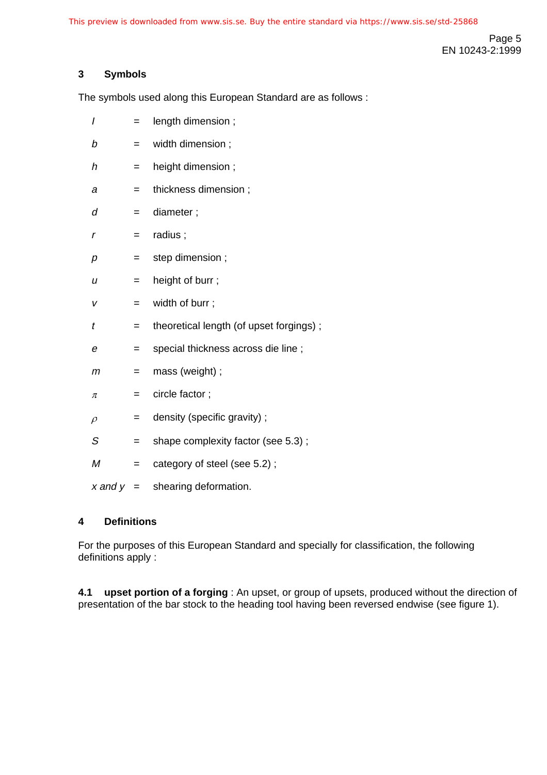Page 5 EN 10243-2:1999

#### **3 Symbols**

The symbols used along this European Standard are as follows :

| I       | $=$ | length dimension;                       |
|---------|-----|-----------------------------------------|
| b       | $=$ | width dimension;                        |
| h       | $=$ | height dimension;                       |
| a       | $=$ | thickness dimension;                    |
| d       | $=$ | diameter;                               |
| r       | $=$ | radius;                                 |
| p       | $=$ | step dimension;                         |
| u       | $=$ | height of burr;                         |
| v       | $=$ | width of burr;                          |
| t       | $=$ | theoretical length (of upset forgings); |
| е       | $=$ | special thickness across die line;      |
| m       | $=$ | mass (weight);                          |
| $\pi$   | $=$ | circle factor;                          |
| $\rho$  | $=$ | density (specific gravity);             |
| S       | $=$ | shape complexity factor (see 5.3);      |
| M       | $=$ | category of steel (see 5.2);            |
| x and y | $=$ | shearing deformation.                   |

#### **4 Definitions**

For the purposes of this European Standard and specially for classification, the following definitions apply :

**4.1 upset portion of a forging** : An upset, or group of upsets, produced without the direction of presentation of the bar stock to the heading tool having been reversed endwise (see figure 1).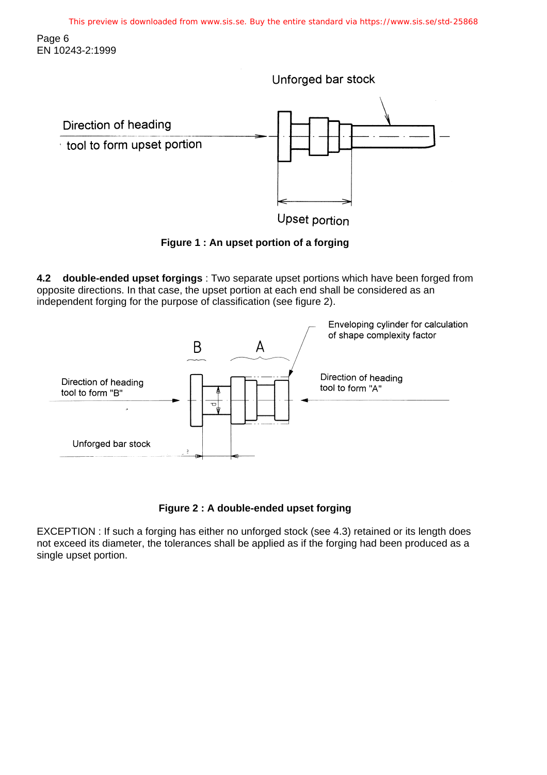Page 6 EN 10243-2:1999





**4.2 double-ended upset forgings** : Two separate upset portions which have been forged from opposite directions. In that case, the upset portion at each end shall be considered as an independent forging for the purpose of classification (see figure 2).





EXCEPTION : If such a forging has either no unforged stock (see 4.3) retained or its length does not exceed its diameter, the tolerances shall be applied as if the forging had been produced as a single upset portion.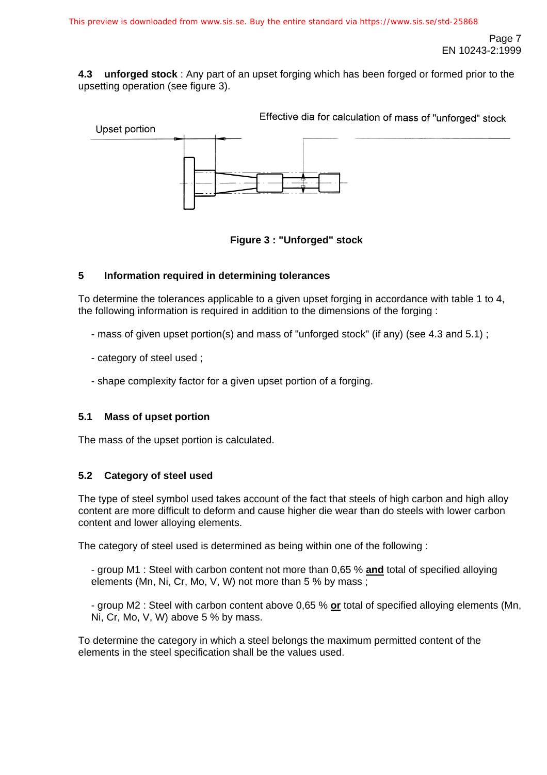**4.3 unforged stock** : Any part of an upset forging which has been forged or formed prior to the upsetting operation (see figure 3).

Effective dia for calculation of mass of "unforged" stock



**Figure 3 : "Unforged" stock**

#### **5 Information required in determining tolerances**

To determine the tolerances applicable to a given upset forging in accordance with table 1 to 4, the following information is required in addition to the dimensions of the forging :

- mass of given upset portion(s) and mass of "unforged stock" (if any) (see 4.3 and 5.1) ;
- category of steel used ;
- shape complexity factor for a given upset portion of a forging.

#### **5.1 Mass of upset portion**

The mass of the upset portion is calculated.

#### **5.2 Category of steel used**

The type of steel symbol used takes account of the fact that steels of high carbon and high alloy content are more difficult to deform and cause higher die wear than do steels with lower carbon content and lower alloying elements.

The category of steel used is determined as being within one of the following :

- group M1 : Steel with carbon content not more than 0,65 % **and** total of specified alloying elements (Mn, Ni, Cr, Mo, V, W) not more than 5 % by mass ;

- group M2 : Steel with carbon content above 0,65 % **or** total of specified alloying elements (Mn, Ni, Cr, Mo, V, W) above 5 % by mass.

To determine the category in which a steel belongs the maximum permitted content of the elements in the steel specification shall be the values used.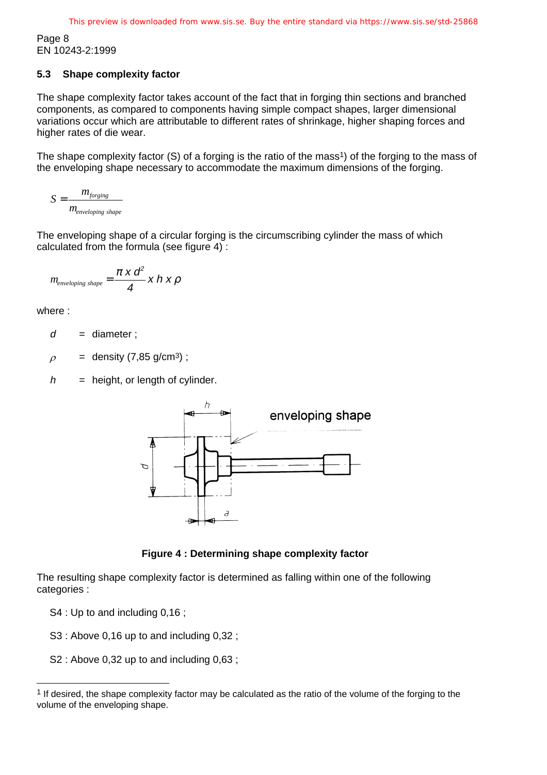Page 8 EN 10243-2:1999

#### **5.3 Shape complexity factor**

The shape complexity factor takes account of the fact that in forging thin sections and branched components, as compared to components having simple compact shapes, larger dimensional variations occur which are attributable to different rates of shrinkage, higher shaping forces and higher rates of die wear.

The shape complexity factor (S) of a forging is the ratio of the mass<sup>1</sup>) of the forging to the mass of the enveloping shape necessary to accommodate the maximum dimensions of the forging.

$$
S = \frac{m_{forging}}{m_{enveloping shape}}
$$

The enveloping shape of a circular forging is the circumscribing cylinder the mass of which calculated from the formula (see figure 4) :

$$
m_{enveloping\ shape} = \frac{\pi \times d^2}{4} \times h \times \rho
$$

where :

- $d =$  diameter ;
- $\rho$  $=$  density (7,85 g/cm<sup>3</sup>);
- $h =$  height, or length of cylinder.





The resulting shape complexity factor is determined as falling within one of the following categories :

- S4 : Up to and including 0,16 ;
- S3 : Above 0,16 up to and including 0,32 ;
- S2 : Above 0,32 up to and including 0,63 ;

<sup>&</sup>lt;sup>1</sup> If desired, the shape complexity factor may be calculated as the ratio of the volume of the forging to the volume of the enveloping shape.